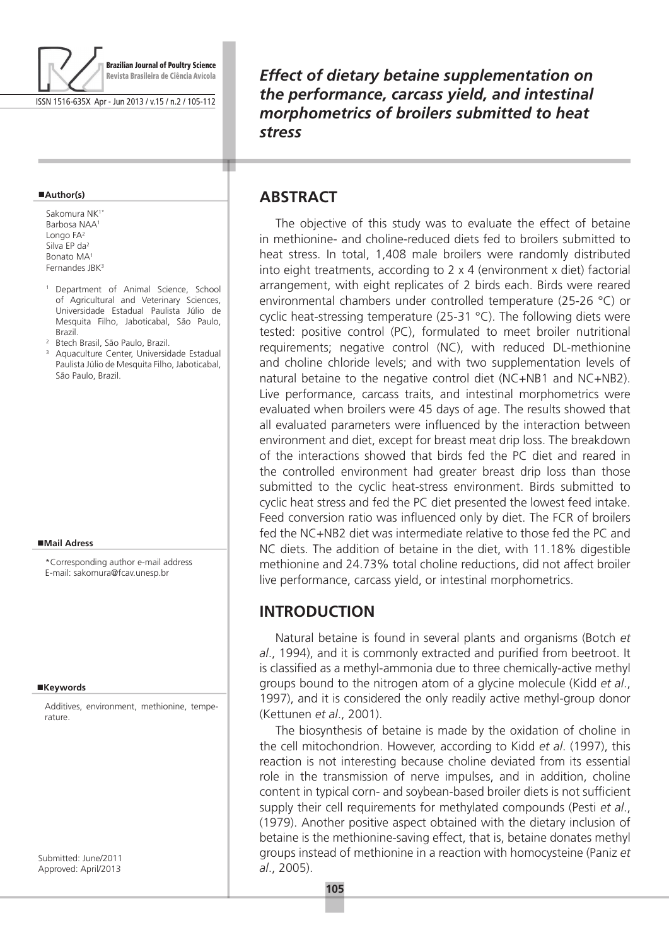

ISSN 1516-635X Apr - Jun 2013 / v.15 / n.2 / 105-112

#### **Author(s)**

Sakomura NK<sup>1</sup> Barbosa NAA1 Longo FA2 Silva EP da2 Bonato MA1 Fernandes JBK3

- <sup>1</sup> Department of Animal Science, School of Agricultural and Veterinary Sciences, Universidade Estadual Paulista Júlio de Mesquita Filho, Jaboticabal, São Paulo, Brazil.
- <sup>2</sup> Btech Brasil, São Paulo, Brazil.
- <sup>3</sup> Aquaculture Center, Universidade Estadual Paulista Júlio de Mesquita Filho, Jaboticabal, São Paulo, Brazil.

#### **Mail Adress**

\*Corresponding author e-mail address E-mail: sakomura@fcav.unesp.br

#### **Keywords**

Additives, environment, methionine, temperature.

Submitted: June/2011 Approved: April/2013

*Effect of dietary betaine supplementation on the performance, carcass yield, and intestinal morphometrics of broilers submitted to heat stress*

## **Abstract**

т

The objective of this study was to evaluate the effect of betaine in methionine- and choline-reduced diets fed to broilers submitted to heat stress. In total, 1,408 male broilers were randomly distributed into eight treatments, according to 2 x 4 (environment x diet) factorial arrangement, with eight replicates of 2 birds each. Birds were reared environmental chambers under controlled temperature (25-26 °C) or cyclic heat-stressing temperature (25-31 °C). The following diets were tested: positive control (PC), formulated to meet broiler nutritional requirements; negative control (NC), with reduced DL-methionine and choline chloride levels; and with two supplementation levels of natural betaine to the negative control diet (NC+NB1 and NC+NB2). Live performance, carcass traits, and intestinal morphometrics were evaluated when broilers were 45 days of age. The results showed that all evaluated parameters were influenced by the interaction between environment and diet, except for breast meat drip loss. The breakdown of the interactions showed that birds fed the PC diet and reared in the controlled environment had greater breast drip loss than those submitted to the cyclic heat-stress environment. Birds submitted to cyclic heat stress and fed the PC diet presented the lowest feed intake. Feed conversion ratio was influenced only by diet. The FCR of broilers fed the NC+NB2 diet was intermediate relative to those fed the PC and NC diets. The addition of betaine in the diet, with 11.18% digestible methionine and 24.73% total choline reductions, did not affect broiler live performance, carcass yield, or intestinal morphometrics.

### **INTRODUCTION**

Natural betaine is found in several plants and organisms (Botch *et al*., 1994), and it is commonly extracted and purified from beetroot. It is classified as a methyl-ammonia due to three chemically-active methyl groups bound to the nitrogen atom of a glycine molecule (Kidd *et al*., 1997), and it is considered the only readily active methyl-group donor (Kettunen *et al*., 2001).

The biosynthesis of betaine is made by the oxidation of choline in the cell mitochondrion. However, according to Kidd *et al*. (1997), this reaction is not interesting because choline deviated from its essential role in the transmission of nerve impulses, and in addition, choline content in typical corn- and soybean-based broiler diets is not sufficient supply their cell requirements for methylated compounds (Pesti *et al*., (1979). Another positive aspect obtained with the dietary inclusion of betaine is the methionine-saving effect, that is, betaine donates methyl groups instead of methionine in a reaction with homocysteine (Paniz *et al*., 2005).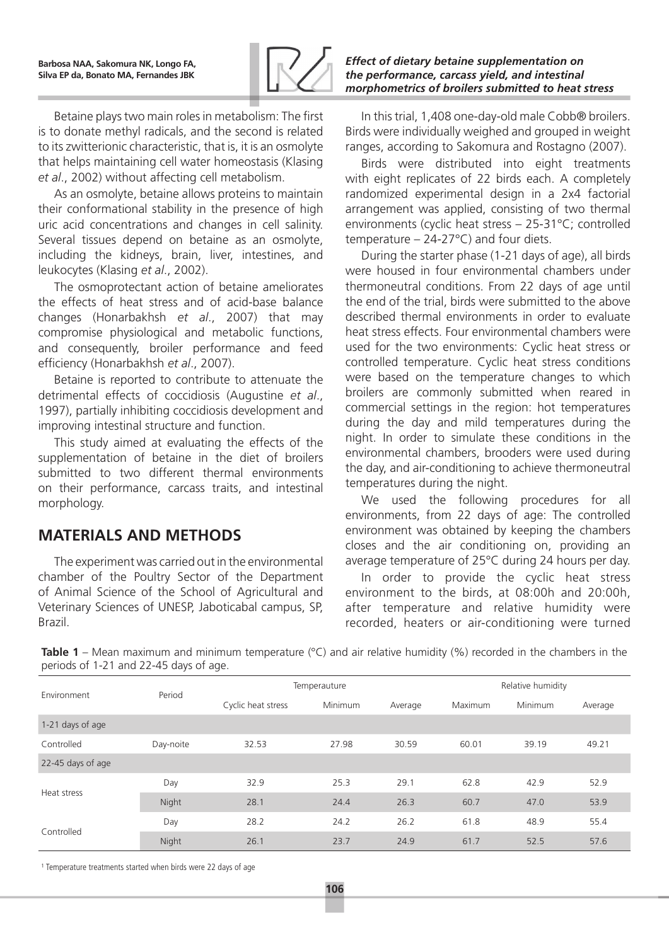

Betaine plays two main roles in metabolism: The first is to donate methyl radicals, and the second is related to its zwitterionic characteristic, that is, it is an osmolyte that helps maintaining cell water homeostasis (Klasing *et al*., 2002) without affecting cell metabolism.

As an osmolyte, betaine allows proteins to maintain their conformational stability in the presence of high uric acid concentrations and changes in cell salinity. Several tissues depend on betaine as an osmolyte, including the kidneys, brain, liver, intestines, and leukocytes (Klasing *et al*., 2002).

The osmoprotectant action of betaine ameliorates the effects of heat stress and of acid-base balance changes (Honarbakhsh *et al*., 2007) that may compromise physiological and metabolic functions, and consequently, broiler performance and feed efficiency (Honarbakhsh *et al*., 2007).

Betaine is reported to contribute to attenuate the detrimental effects of coccidiosis (Augustine *et al*., 1997), partially inhibiting coccidiosis development and improving intestinal structure and function.

This study aimed at evaluating the effects of the supplementation of betaine in the diet of broilers submitted to two different thermal environments on their performance, carcass traits, and intestinal morphology.

# **Materials and Methods**

The experiment was carried out in the environmental chamber of the Poultry Sector of the Department of Animal Science of the School of Agricultural and Veterinary Sciences of UNESP, Jaboticabal campus, SP, Brazil.

*Effect of dietary betaine supplementation on the performance, carcass yield, and intestinal morphometrics of broilers submitted to heat stress*

In this trial, 1,408 one-day-old male Cobb® broilers. Birds were individually weighed and grouped in weight ranges, according to Sakomura and Rostagno (2007).

Birds were distributed into eight treatments with eight replicates of 22 birds each. A completely randomized experimental design in a 2x4 factorial arrangement was applied, consisting of two thermal environments (cyclic heat stress – 25-31°C; controlled temperature – 24-27°C) and four diets.

During the starter phase (1-21 days of age), all birds were housed in four environmental chambers under thermoneutral conditions. From 22 days of age until the end of the trial, birds were submitted to the above described thermal environments in order to evaluate heat stress effects. Four environmental chambers were used for the two environments: Cyclic heat stress or controlled temperature. Cyclic heat stress conditions were based on the temperature changes to which broilers are commonly submitted when reared in commercial settings in the region: hot temperatures during the day and mild temperatures during the night. In order to simulate these conditions in the environmental chambers, brooders were used during the day, and air-conditioning to achieve thermoneutral temperatures during the night.

We used the following procedures for all environments, from 22 days of age: The controlled environment was obtained by keeping the chambers closes and the air conditioning on, providing an average temperature of 25°C during 24 hours per day.

In order to provide the cyclic heat stress environment to the birds, at 08:00h and 20:00h, after temperature and relative humidity were recorded, heaters or air-conditioning were turned

**Table 1** – Mean maximum and minimum temperature (°C) and air relative humidity (%) recorded in the chambers in the periods of 1-21 and 22-45 days of age.

| Environment       | Period    | Temperauture       |         |         | Relative humidity |         |         |  |
|-------------------|-----------|--------------------|---------|---------|-------------------|---------|---------|--|
|                   |           | Cyclic heat stress | Minimum | Average | Maximum           | Minimum | Average |  |
| 1-21 days of age  |           |                    |         |         |                   |         |         |  |
| Controlled        | Day-noite | 32.53              | 27.98   | 30.59   | 60.01             | 39.19   | 49.21   |  |
| 22-45 days of age |           |                    |         |         |                   |         |         |  |
| Heat stress       | Day       | 32.9               | 25.3    | 29.1    | 62.8              | 42.9    | 52.9    |  |
|                   | Night     | 28.1               | 24.4    | 26.3    | 60.7              | 47.0    | 53.9    |  |
| Controlled        | Day       | 28.2               | 24.2    | 26.2    | 61.8              | 48.9    | 55.4    |  |
|                   | Night     | 26.1               | 23.7    | 24.9    | 61.7              | 52.5    | 57.6    |  |

<sup>1</sup> Temperature treatments started when birds were 22 days of age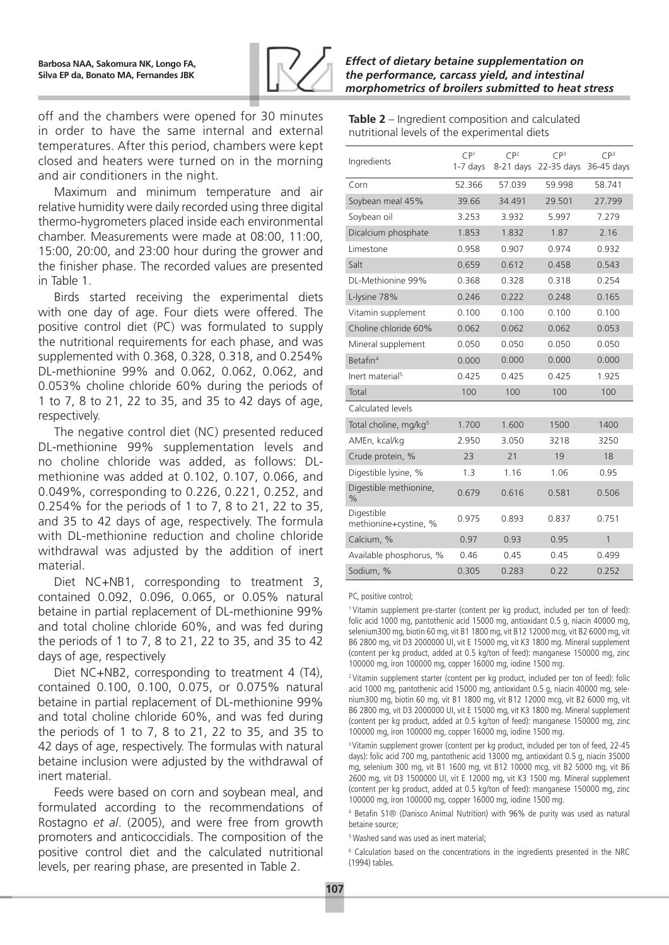

off and the chambers were opened for 30 minutes in order to have the same internal and external temperatures. After this period, chambers were kept closed and heaters were turned on in the morning and air conditioners in the night.

Maximum and minimum temperature and air relative humidity were daily recorded using three digital thermo-hygrometers placed inside each environmental chamber. Measurements were made at 08:00, 11:00, 15:00, 20:00, and 23:00 hour during the grower and the finisher phase. The recorded values are presented in Table 1.

Birds started receiving the experimental diets with one day of age. Four diets were offered. The positive control diet (PC) was formulated to supply the nutritional requirements for each phase, and was supplemented with 0.368, 0.328, 0.318, and 0.254% DL-methionine 99% and 0.062, 0.062, 0.062, and 0.053% choline chloride 60% during the periods of 1 to 7, 8 to 21, 22 to 35, and 35 to 42 days of age, respectively.

The negative control diet (NC) presented reduced DL-methionine 99% supplementation levels and no choline chloride was added, as follows: DLmethionine was added at 0.102, 0.107, 0.066, and 0.049%, corresponding to 0.226, 0.221, 0.252, and 0.254% for the periods of 1 to 7, 8 to 21, 22 to 35, and 35 to 42 days of age, respectively. The formula with DL-methionine reduction and choline chloride withdrawal was adjusted by the addition of inert material.

Diet NC+NB1, corresponding to treatment 3, contained 0.092, 0.096, 0.065, or 0.05% natural betaine in partial replacement of DL-methionine 99% and total choline chloride 60%, and was fed during the periods of 1 to 7, 8 to 21, 22 to 35, and 35 to 42 days of age, respectively

Diet NC+NB2, corresponding to treatment 4 (T4), contained 0.100, 0.100, 0.075, or 0.075% natural betaine in partial replacement of DL-methionine 99% and total choline chloride 60%, and was fed during the periods of 1 to 7, 8 to 21, 22 to 35, and 35 to 42 days of age, respectively. The formulas with natural betaine inclusion were adjusted by the withdrawal of inert material.

Feeds were based on corn and soybean meal, and formulated according to the recommendations of Rostagno *et al*. (2005), and were free from growth promoters and anticoccidials. The composition of the positive control diet and the calculated nutritional levels, per rearing phase, are presented in Table 2.

| Table 2 – Ingredient composition and calculated |  |
|-------------------------------------------------|--|
| nutritional levels of the experimental diets    |  |

| Ingredients                             | CP <sup>1</sup><br>1-7 days | CP <sup>2</sup><br>$8-21$ days | CP <sup>3</sup><br>22-35 days | CP <sup>3</sup><br>36-45 days |
|-----------------------------------------|-----------------------------|--------------------------------|-------------------------------|-------------------------------|
| Corn                                    | 52.366                      | 57.039                         | 59.998                        | 58.741                        |
| Soybean meal 45%                        | 39.66                       | 34.491                         | 29.501                        | 27.799                        |
| Soybean oil                             | 3.253                       | 3.932                          | 5.997                         | 7.279                         |
| Dicalcium phosphate                     | 1.853                       | 1.832                          | 1.87                          | 2.16                          |
| Limestone                               | 0.958                       | 0.907                          | 0.974                         | 0.932                         |
| Salt                                    | 0.659                       | 0.612                          | 0.458                         | 0.543                         |
| DL-Methionine 99%                       | 0.368                       | 0.328                          | 0.318                         | 0.254                         |
| L-lysine 78%                            | 0.246                       | 0.222                          | 0.248                         | 0.165                         |
| Vitamin supplement                      | 0.100                       | 0.100                          | 0.100                         | 0.100                         |
| Choline chloride 60%                    | 0.062                       | 0.062                          | 0.062                         | 0.053                         |
| Mineral supplement                      | 0.050                       | 0.050                          | 0.050                         | 0.050                         |
| Betafin <sup>4</sup>                    | 0.000                       | 0.000                          | 0.000                         | 0.000                         |
| Inert material <sup>5</sup>             | 0.425                       | 0.425                          | 0.425                         | 1.925                         |
| Total                                   | 100                         | 100                            | 100                           | 100                           |
| Calculated levels                       |                             |                                |                               |                               |
| Total choline, mg/kg <sup>5</sup>       | 1.700                       | 1.600                          | 1500                          | 1400                          |
| AMEn, kcal/kg                           | 2.950                       | 3.050                          | 3218                          | 3250                          |
| Crude protein, %                        | 23                          | 21                             | 19                            | 18                            |
| Digestible lysine, %                    | 1.3                         | 1.16                           | 1.06                          | 0.95                          |
| Digestible methionine,<br>$\frac{0}{0}$ | 0.679                       | 0.616                          | 0.581                         | 0.506                         |
| Digestible<br>methionine+cystine, %     | 0.975                       | 0.893                          | 0.837                         | 0.751                         |
| Calcium, %                              | 0.97                        | 0.93                           | 0.95                          | 1                             |
| Available phosphorus, %                 | 0.46                        | 0.45                           | 0.45                          | 0.499                         |
| Sodium, %                               | 0.305                       | 0.283                          | 0.22                          | 0.252                         |

PC, positive control;

<sup>1</sup> Vitamin supplement pre-starter (content per kg product, included per ton of feed): folic acid 1000 mg, pantothenic acid 15000 mg, antioxidant 0.5 g, niacin 40000 mg, selenium300 mg, biotin 60 mg, vit B1 1800 mg, vit B12 12000 mcg, vit B2 6000 mg, vit B6 2800 mg, vit D3 2000000 UI, vit E 15000 mg, vit K3 1800 mg. Mineral supplement (content per kg product, added at 0.5 kg/ton of feed): manganese 150000 mg, zinc 100000 mg, iron 100000 mg, copper 16000 mg, iodine 1500 mg.

<sup>2</sup> Vitamin supplement starter (content per kg product, included per ton of feed): folic acid 1000 mg, pantothenic acid 15000 mg, antioxidant 0.5 g, niacin 40000 mg, selenium300 mg, biotin 60 mg, vit B1 1800 mg, vit B12 12000 mcg, vit B2 6000 mg, vit B6 2800 mg, vit D3 2000000 UI, vit E 15000 mg, vit K3 1800 mg. Mineral supplement (content per kg product, added at 0.5 kg/ton of feed): manganese 150000 mg, zinc 100000 mg, iron 100000 mg, copper 16000 mg, iodine 1500 mg.

<sup>3</sup> Vitamin supplement grower (content per kg product, included per ton of feed, 22-45 days): folic acid 700 mg, pantothenic acid 13000 mg, antioxidant 0.5 g, niacin 35000 mg, selenium 300 mg, vit B1 1600 mg, vit B12 10000 mcg, vit B2 5000 mg, vit B6 2600 mg, vit D3 1500000 UI, vit E 12000 mg, vit K3 1500 mg. Mineral supplement (content per kg product, added at 0.5 kg/ton of feed): manganese 150000 mg, zinc 100000 mg, iron 100000 mg, copper 16000 mg, iodine 1500 mg.

4 Betafin S1® (Danisco Animal Nutrition) with 96% de purity was used as natural betaine source;

5 Washed sand was used as inert material;

<sup>6</sup> Calculation based on the concentrations in the ingredients presented in the NRC (1994) tables.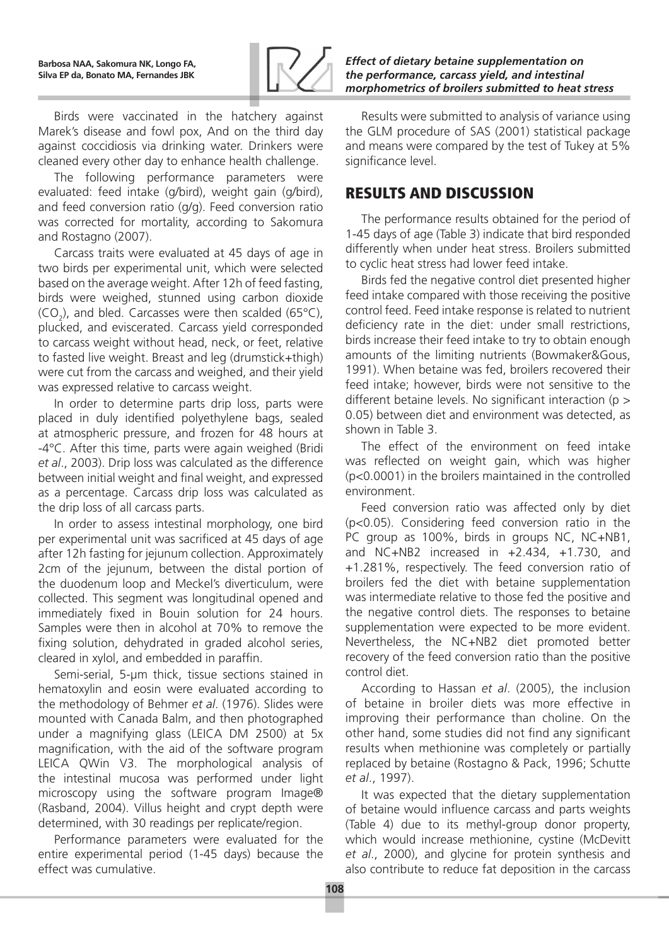

Birds were vaccinated in the hatchery against Marek's disease and fowl pox, And on the third day against coccidiosis via drinking water. Drinkers were cleaned every other day to enhance health challenge.

The following performance parameters were evaluated: feed intake (g/bird), weight gain (g/bird), and feed conversion ratio (g/g). Feed conversion ratio was corrected for mortality, according to Sakomura and Rostagno (2007).

Carcass traits were evaluated at 45 days of age in two birds per experimental unit, which were selected based on the average weight. After 12h of feed fasting, birds were weighed, stunned using carbon dioxide  $(CO_2)$ , and bled. Carcasses were then scalded (65°C), plucked, and eviscerated. Carcass yield corresponded to carcass weight without head, neck, or feet, relative to fasted live weight. Breast and leg (drumstick+thigh) were cut from the carcass and weighed, and their yield was expressed relative to carcass weight.

In order to determine parts drip loss, parts were placed in duly identified polyethylene bags, sealed at atmospheric pressure, and frozen for 48 hours at -4°C. After this time, parts were again weighed (Bridi *et al*., 2003). Drip loss was calculated as the difference between initial weight and final weight, and expressed as a percentage. Carcass drip loss was calculated as the drip loss of all carcass parts.

In order to assess intestinal morphology, one bird per experimental unit was sacrificed at 45 days of age after 12h fasting for jejunum collection. Approximately 2cm of the jejunum, between the distal portion of the duodenum loop and Meckel's diverticulum, were collected. This segment was longitudinal opened and immediately fixed in Bouin solution for 24 hours. Samples were then in alcohol at 70% to remove the fixing solution, dehydrated in graded alcohol series, cleared in xylol, and embedded in paraffin.

Semi-serial, 5-µm thick, tissue sections stained in hematoxylin and eosin were evaluated according to the methodology of Behmer *et al*. (1976). Slides were mounted with Canada Balm, and then photographed under a magnifying glass (LEICA DM 2500) at 5x magnification, with the aid of the software program LEICA QWin V3. The morphological analysis of the intestinal mucosa was performed under light microscopy using the software program Image® (Rasband, 2004). Villus height and crypt depth were determined, with 30 readings per replicate/region.

Performance parameters were evaluated for the entire experimental period (1-45 days) because the effect was cumulative.

*Effect of dietary betaine supplementation on the performance, carcass yield, and intestinal morphometrics of broilers submitted to heat stress*

Results were submitted to analysis of variance using the GLM procedure of SAS (2001) statistical package and means were compared by the test of Tukey at 5% significance level.

# RESULTS AND DISCUSSION

The performance results obtained for the period of 1-45 days of age (Table 3) indicate that bird responded differently when under heat stress. Broilers submitted to cyclic heat stress had lower feed intake.

Birds fed the negative control diet presented higher feed intake compared with those receiving the positive control feed. Feed intake response is related to nutrient deficiency rate in the diet: under small restrictions, birds increase their feed intake to try to obtain enough amounts of the limiting nutrients (Bowmaker&Gous, 1991). When betaine was fed, broilers recovered their feed intake; however, birds were not sensitive to the different betaine levels. No significant interaction (p > 0.05) between diet and environment was detected, as shown in Table 3.

The effect of the environment on feed intake was reflected on weight gain, which was higher (p<0.0001) in the broilers maintained in the controlled environment.

Feed conversion ratio was affected only by diet (p<0.05). Considering feed conversion ratio in the PC group as 100%, birds in groups NC, NC+NB1, and NC+NB2 increased in +2.434, +1.730, and +1.281%, respectively. The feed conversion ratio of broilers fed the diet with betaine supplementation was intermediate relative to those fed the positive and the negative control diets. The responses to betaine supplementation were expected to be more evident. Nevertheless, the NC+NB2 diet promoted better recovery of the feed conversion ratio than the positive control diet.

According to Hassan *et al*. (2005), the inclusion of betaine in broiler diets was more effective in improving their performance than choline. On the other hand, some studies did not find any significant results when methionine was completely or partially replaced by betaine (Rostagno & Pack, 1996; Schutte *et al*., 1997).

It was expected that the dietary supplementation of betaine would influence carcass and parts weights (Table 4) due to its methyl-group donor property, which would increase methionine, cystine (McDevitt *et al*., 2000), and glycine for protein synthesis and also contribute to reduce fat deposition in the carcass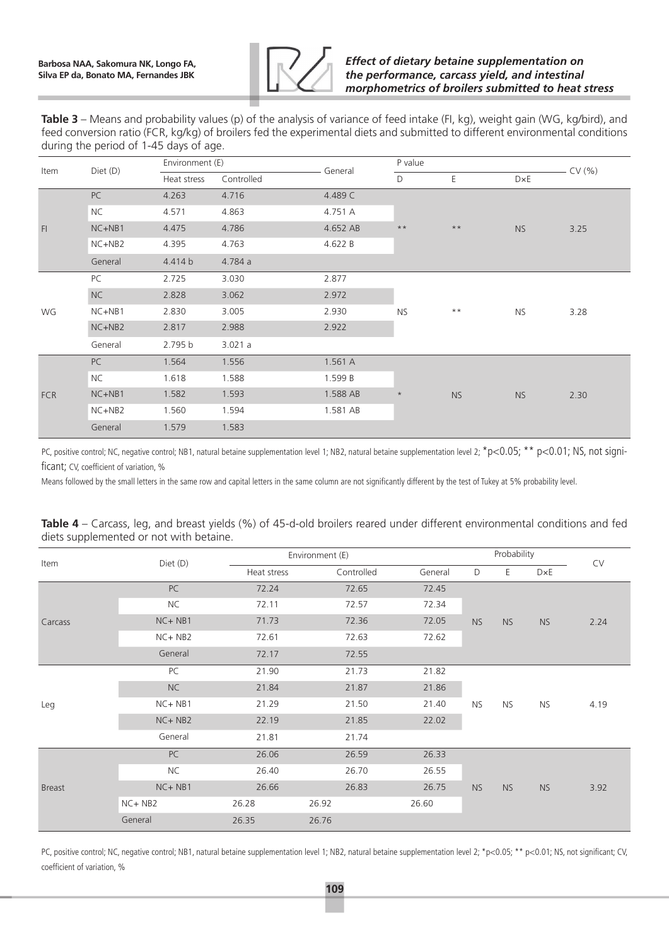

**Table 3** – Means and probability values (p) of the analysis of variance of feed intake (FI, kg), weight gain (WG, kg/bird), and feed conversion ratio (FCR, kg/kg) of broilers fed the experimental diets and submitted to different environmental conditions during the period of 1-45 days of age.

| Item       | Diet (D)  | Environment (E) |            | General  | P value        | CV(% )         |           |      |
|------------|-----------|-----------------|------------|----------|----------------|----------------|-----------|------|
|            |           | Heat stress     | Controlled |          | D              | Ε              | D×E       |      |
|            | PC        | 4.263           | 4.716      | 4.489 C  |                |                | <b>NS</b> | 3.25 |
|            | <b>NC</b> | 4.571           | 4.863      | 4.751 A  |                |                |           |      |
| F1         | $NC+NB1$  | 4.475           | 4.786      | 4.652 AB | $\star\,\star$ | $***$          |           |      |
|            | NC+NB2    | 4.395           | 4.763      | 4.622 B  |                |                |           |      |
|            | General   | 4.414 b         | 4.784 a    |          |                |                |           |      |
| WG         | PC        | 2.725           | 3.030      | 2.877    | <b>NS</b>      |                |           | 3.28 |
|            | NC        | 2.828           | 3.062      | 2.972    |                |                | <b>NS</b> |      |
|            | NC+NB1    | 2.830           | 3.005      | 2.930    |                | $\star\,\star$ |           |      |
|            | NC+NB2    | 2.817           | 2.988      | 2.922    |                |                |           |      |
|            | General   | 2.795 b         | 3.021a     |          |                |                |           |      |
|            | PC        | 1.564           | 1.556      | 1.561 A  |                |                |           |      |
|            | <b>NC</b> | 1.618           | 1.588      | 1.599 B  |                |                |           |      |
| <b>FCR</b> | NC+NB1    | 1.582           | 1.593      | 1.588 AB | $\star$        | <b>NS</b>      | <b>NS</b> | 2.30 |
|            | $NC+NB2$  | 1.560           | 1.594      | 1.581 AB |                |                |           |      |
|            | General   | 1.579           | 1.583      |          |                |                |           |      |

PC, positive control; NC, negative control; NB1, natural betaine supplementation level 1; NB2, natural betaine supplementation level 2; \*p<0.05; \*\* p<0.01; NS, not significant; CV, coefficient of variation, %

Means followed by the small letters in the same row and capital letters in the same column are not significantly different by the test of Tukey at 5% probability level.

|               |            |             | Environment (E) |            |         | Probability |           |           |      |
|---------------|------------|-------------|-----------------|------------|---------|-------------|-----------|-----------|------|
| Item          | Diet (D)   | Heat stress |                 | Controlled | General | D           | E         | D×E       | CV   |
|               | PC         | 72.24       |                 | 72.65      | 72.45   |             |           | <b>NS</b> |      |
|               | <b>NC</b>  | 72.11       |                 | 72.57      | 72.34   |             |           |           |      |
| Carcass       | $NC + NB1$ | 71.73       |                 | 72.36      | 72.05   | <b>NS</b>   | <b>NS</b> |           | 2.24 |
|               | NC+NB2     | 72.61       |                 | 72.63      | 72.62   |             |           |           |      |
|               | General    | 72.17       |                 | 72.55      |         |             |           |           |      |
|               | PC         | 21.90       |                 | 21.73      | 21.82   |             |           | <b>NS</b> |      |
|               | NC         | 21.84       |                 | 21.87      | 21.86   |             | <b>NS</b> |           |      |
| Leg           | NC+NB1     | 21.29       |                 | 21.50      | 21.40   | <b>NS</b>   |           |           | 4.19 |
|               | NC+NB2     | 22.19       |                 | 21.85      | 22.02   |             |           |           |      |
|               | General    | 21.81       |                 | 21.74      |         |             |           |           |      |
|               | PC         | 26.06       |                 | 26.59      | 26.33   |             |           |           |      |
|               | <b>NC</b>  | 26.40       |                 | 26.70      | 26.55   |             |           |           |      |
| <b>Breast</b> | $NC + NB1$ | 26.66       |                 | 26.83      | 26.75   | <b>NS</b>   | <b>NS</b> | <b>NS</b> | 3.92 |
|               | $NC + NB2$ | 26.28       | 26.92           |            | 26.60   |             |           |           |      |
|               | General    | 26.35       | 26.76           |            |         |             |           |           |      |

| Table 4 – Carcass, leg, and breast yields (%) of 45-d-old broilers reared under different environmental conditions and fed |  |  |
|----------------------------------------------------------------------------------------------------------------------------|--|--|
| diets supplemented or not with betaine.                                                                                    |  |  |

PC, positive control; NC, negative control; NB1, natural betaine supplementation level 1; NB2, natural betaine supplementation level 2; \*p<0.05; \*\* p<0.01; NS, not significant; CV, coefficient of variation, %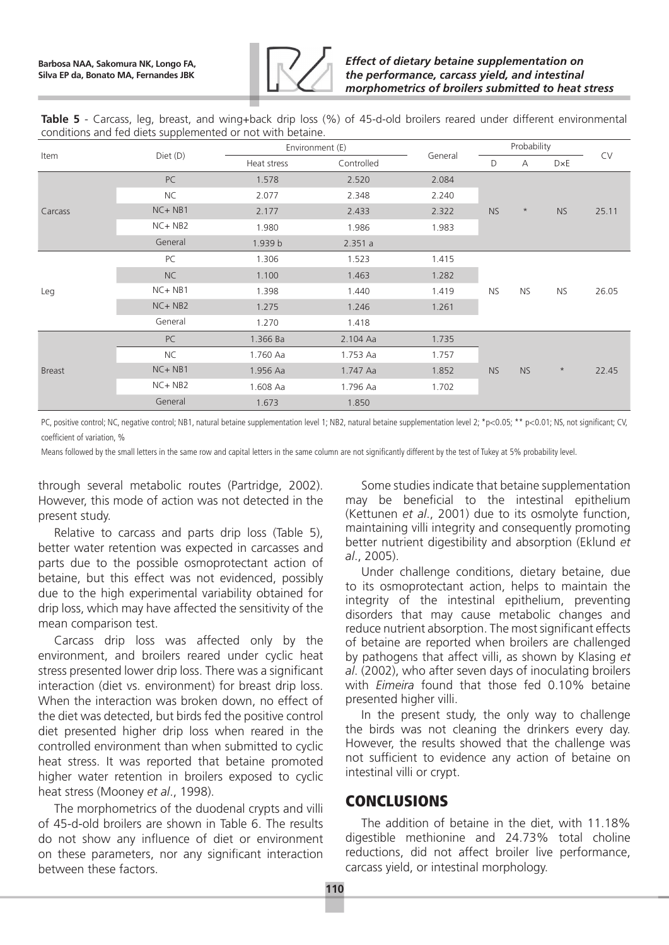

**Table 5** - Carcass, leg, breast, and wing+back drip loss (%) of 45-d-old broilers reared under different environmental conditions and fed diets supplemented or not with betaine.

| Item          |            |             | Environment (E) | General | Probability |           |           | CV    |
|---------------|------------|-------------|-----------------|---------|-------------|-----------|-----------|-------|
|               | Diet (D)   | Heat stress | Controlled      |         | D           | А         | DxE       |       |
|               | PC         | 1.578       | 2.520           | 2.084   |             |           |           |       |
|               | <b>NC</b>  | 2.077       | 2.348           | 2.240   |             |           |           |       |
| Carcass       | NC+NB1     | 2.177       | 2.433           | 2.322   | <b>NS</b>   | $\star$   | <b>NS</b> | 25.11 |
|               | $NC + NB2$ | 1.980       | 1.986           | 1.983   |             |           |           |       |
|               | General    | 1.939 b     | 2.351a          |         |             |           |           |       |
| Leg           | PC         | 1.306       | 1.523           | 1.415   |             |           |           |       |
|               | NC         | 1.100       | 1.463           | 1.282   |             |           |           |       |
|               | NC+NB1     | 1.398       | 1.440           | 1.419   | <b>NS</b>   | <b>NS</b> | NS.       | 26.05 |
|               | $NC + NB2$ | 1.275       | 1.246           | 1.261   |             |           |           |       |
|               | General    | 1.270       | 1.418           |         |             |           |           |       |
|               | PC         | 1.366 Ba    | 2.104 Aa        | 1.735   |             |           |           |       |
|               | <b>NC</b>  | 1.760 Aa    | 1.753 Aa        | 1.757   |             |           |           |       |
| <b>Breast</b> | $NC + NB1$ | 1.956 Aa    | 1.747 Aa        | 1.852   | <b>NS</b>   | <b>NS</b> | $\star$   | 22.45 |
|               | $NC + NB2$ | 1.608 Aa    | 1.796 Aa        | 1.702   |             |           |           |       |
|               | General    | 1.673       | 1.850           |         |             |           |           |       |

PC, positive control; NC, negative control; NB1, natural betaine supplementation level 1; NB2, natural betaine supplementation level 2; \*p<0.05; \*\* p<0.01; NS, not significant; CV, coefficient of variation, %

Means followed by the small letters in the same row and capital letters in the same column are not significantly different by the test of Tukey at 5% probability level.

through several metabolic routes (Partridge, 2002). However, this mode of action was not detected in the present study.

Relative to carcass and parts drip loss (Table 5), better water retention was expected in carcasses and parts due to the possible osmoprotectant action of betaine, but this effect was not evidenced, possibly due to the high experimental variability obtained for drip loss, which may have affected the sensitivity of the mean comparison test.

Carcass drip loss was affected only by the environment, and broilers reared under cyclic heat stress presented lower drip loss. There was a significant interaction (diet vs. environment) for breast drip loss. When the interaction was broken down, no effect of the diet was detected, but birds fed the positive control diet presented higher drip loss when reared in the controlled environment than when submitted to cyclic heat stress. It was reported that betaine promoted higher water retention in broilers exposed to cyclic heat stress (Mooney *et al*., 1998).

The morphometrics of the duodenal crypts and villi of 45-d-old broilers are shown in Table 6. The results do not show any influence of diet or environment on these parameters, nor any significant interaction between these factors.

Some studies indicate that betaine supplementation may be beneficial to the intestinal epithelium (Kettunen *et al*., 2001) due to its osmolyte function, maintaining villi integrity and consequently promoting better nutrient digestibility and absorption (Eklund *et al*., 2005).

Under challenge conditions, dietary betaine, due to its osmoprotectant action, helps to maintain the integrity of the intestinal epithelium, preventing disorders that may cause metabolic changes and reduce nutrient absorption. The most significant effects of betaine are reported when broilers are challenged by pathogens that affect villi, as shown by Klasing *et al*. (2002), who after seven days of inoculating broilers with *Eimeira* found that those fed 0.10% betaine presented higher villi.

In the present study, the only way to challenge the birds was not cleaning the drinkers every day. However, the results showed that the challenge was not sufficient to evidence any action of betaine on intestinal villi or crypt.

### **CONCLUSIONS**

The addition of betaine in the diet, with 11.18% digestible methionine and 24.73% total choline reductions, did not affect broiler live performance, carcass yield, or intestinal morphology.